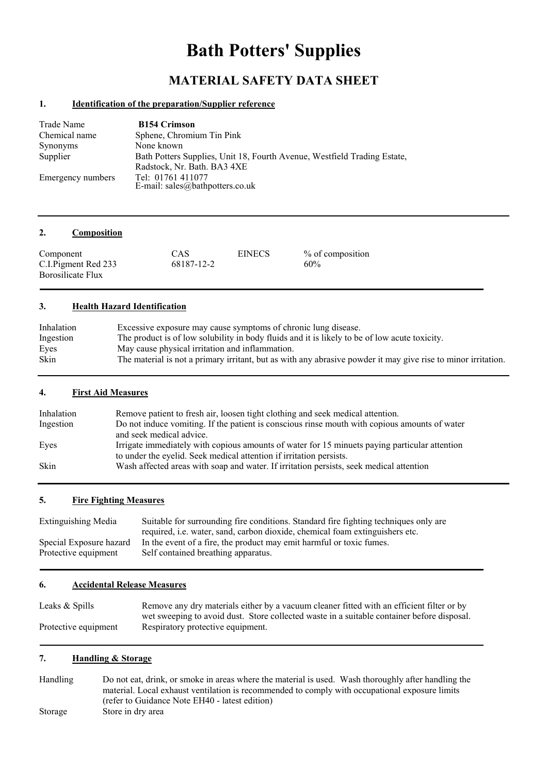# **Bath Potters' Supplies**

# **MATERIAL SAFETY DATA SHEET**

### **1. Identification of the preparation/Supplier reference**

| Trade Name        | <b>B154 Crimson</b>                                                                 |
|-------------------|-------------------------------------------------------------------------------------|
| Chemical name     | Sphene, Chromium Tin Pink                                                           |
| Synonyms          | None known                                                                          |
| Supplier          | Bath Potters Supplies, Unit 18, Fourth Avenue, Westfield Trading Estate,            |
| Emergency numbers | Radstock, Nr. Bath. BA3 4XE<br>Tel: 01761 411077<br>E-mail: sales@bathpotters.co.uk |

#### **2. Composition**

| CAS<br>Component<br>C.I. Pigment Red 233<br>68187-12-2<br>Borosilicate Flux | <b>EINECS</b> | % of composition<br>60% |
|-----------------------------------------------------------------------------|---------------|-------------------------|
|-----------------------------------------------------------------------------|---------------|-------------------------|

### **3. Health Hazard Identification**

| Inhalation | Excessive exposure may cause symptoms of chronic lung disease.                                                |
|------------|---------------------------------------------------------------------------------------------------------------|
| Ingestion  | The product is of low solubility in body fluids and it is likely to be of low acute toxicity.                 |
| Eyes       | May cause physical irritation and inflammation.                                                               |
| Skin       | The material is not a primary irritant, but as with any abrasive powder it may give rise to minor irritation. |

### **4. First Aid Measures**

| Inhalation  | Remove patient to fresh air, loosen tight clothing and seek medical attention.                |
|-------------|-----------------------------------------------------------------------------------------------|
| Ingestion   | Do not induce vomiting. If the patient is conscious rinse mouth with copious amounts of water |
|             | and seek medical advice.                                                                      |
| Eyes        | Irrigate immediately with copious amounts of water for 15 minusts paying particular attention |
|             | to under the eyelid. Seek medical attention if irritation persists.                           |
| <b>Skin</b> | Wash affected areas with soap and water. If irritation persists, seek medical attention       |
|             |                                                                                               |

#### **5. Fire Fighting Measures**

| Suitable for surrounding fire conditions. Standard fire fighting techniques only are |
|--------------------------------------------------------------------------------------|
| required, <i>i.e.</i> water, sand, carbon dioxide, chemical foam extinguishers etc.  |
| In the event of a fire, the product may emit harmful or toxic fumes.                 |
| Self contained breathing apparatus.                                                  |
|                                                                                      |

#### **6. Accidental Release Measures**

| Leaks & Spills       | Remove any dry materials either by a vacuum cleaner fitted with an efficient filter or by  |
|----------------------|--------------------------------------------------------------------------------------------|
|                      | wet sweeping to avoid dust. Store collected waste in a suitable container before disposal. |
| Protective equipment | Respiratory protective equipment.                                                          |

# **7. Handling & Storage**

Handling Do not eat, drink, or smoke in areas where the material is used. Wash thoroughly after handling the material. Local exhaust ventilation is recommended to comply with occupational exposure limits (refer to Guidance Note EH40 - latest edition) Storage Store in dry area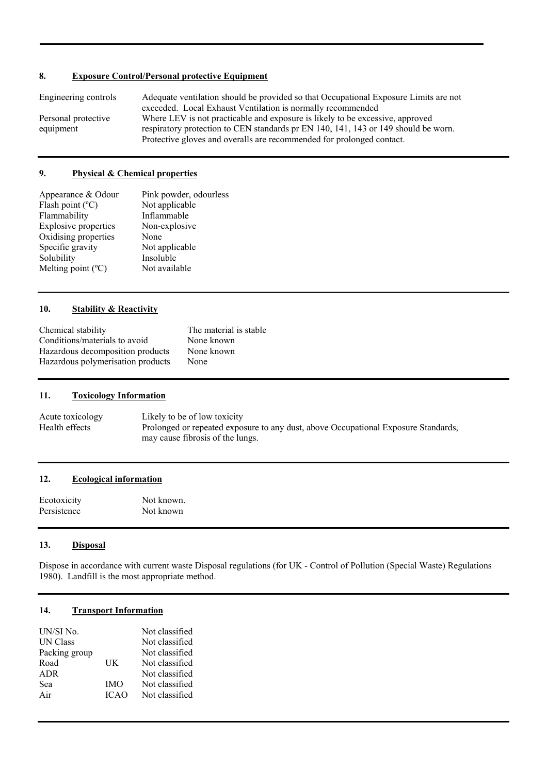# **8. Exposure Control/Personal protective Equipment**

| Engineering controls | Adequate ventilation should be provided so that Occupational Exposure Limits are not |
|----------------------|--------------------------------------------------------------------------------------|
|                      | exceeded. Local Exhaust Ventilation is normally recommended                          |
| Personal protective  | Where LEV is not practicable and exposure is likely to be excessive, approved        |
| equipment            | respiratory protection to CEN standards pr EN 140, 141, 143 or 149 should be worn.   |
|                      | Protective gloves and overalls are recommended for prolonged contact.                |

## **9. Physical & Chemical properties**

| Appearance & Odour          | Pink powder, odourless |
|-----------------------------|------------------------|
| Flash point $(^{\circ}C)$   | Not applicable         |
| Flammability                | Inflammable            |
| <b>Explosive properties</b> | Non-explosive          |
| Oxidising properties        | None                   |
| Specific gravity            | Not applicable         |
| Solubility                  | Insoluble              |
| Melting point $(^{\circ}C)$ | Not available          |

# **10. Stability & Reactivity**

| Chemical stability                | The material is stable |
|-----------------------------------|------------------------|
| Conditions/materials to avoid     | None known             |
| Hazardous decomposition products  | None known             |
| Hazardous polymerisation products | None                   |

# **11. Toxicology Information**

Acute toxicology Likely to be of low toxicity<br>Health effects Prolonged or repeated expo Prolonged or repeated exposure to any dust, above Occupational Exposure Standards, may cause fibrosis of the lungs.

# **12. Ecological information**

Ecotoxicity Not known. Persistence Not known

#### **13. Disposal**

Dispose in accordance with current waste Disposal regulations (for UK - Control of Pollution (Special Waste) Regulations 1980). Landfill is the most appropriate method.

# **14. Transport Information**

| UN/SI No.       |             | Not classified |
|-----------------|-------------|----------------|
| <b>UN Class</b> |             | Not classified |
| Packing group   |             | Not classified |
| Road            | UK          | Not classified |
| <b>ADR</b>      |             | Not classified |
| Sea             | <b>IMO</b>  | Not classified |
| Air             | <b>ICAO</b> | Not classified |
|                 |             |                |